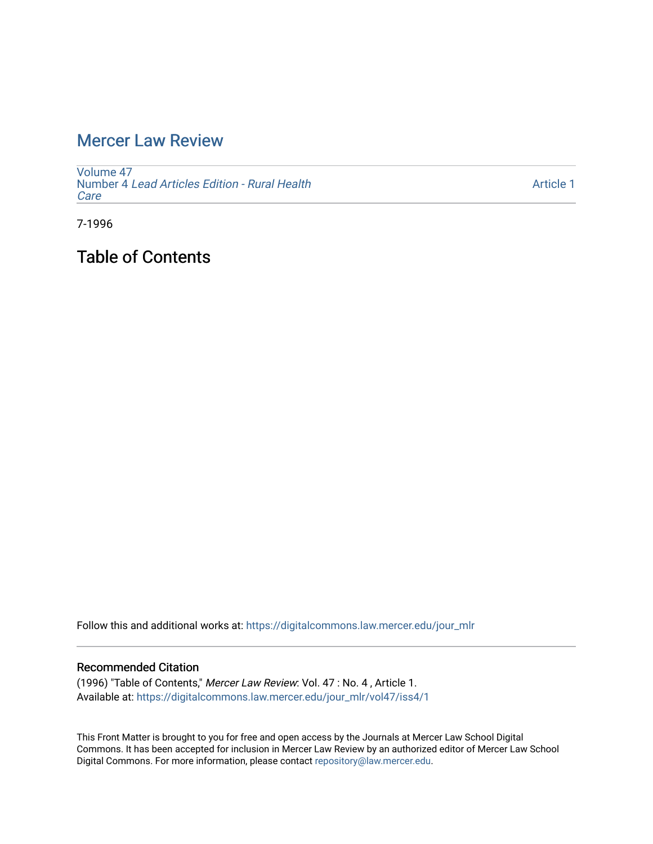## [Mercer Law Review](https://digitalcommons.law.mercer.edu/jour_mlr)

[Volume 47](https://digitalcommons.law.mercer.edu/jour_mlr/vol47) Number 4 [Lead Articles Edition - Rural Health](https://digitalcommons.law.mercer.edu/jour_mlr/vol47/iss4) [Care](https://digitalcommons.law.mercer.edu/jour_mlr/vol47/iss4) 

[Article 1](https://digitalcommons.law.mercer.edu/jour_mlr/vol47/iss4/1) 

7-1996

Table of Contents

Follow this and additional works at: [https://digitalcommons.law.mercer.edu/jour\\_mlr](https://digitalcommons.law.mercer.edu/jour_mlr?utm_source=digitalcommons.law.mercer.edu%2Fjour_mlr%2Fvol47%2Fiss4%2F1&utm_medium=PDF&utm_campaign=PDFCoverPages)

#### Recommended Citation

(1996) "Table of Contents," Mercer Law Review: Vol. 47 : No. 4 , Article 1. Available at: [https://digitalcommons.law.mercer.edu/jour\\_mlr/vol47/iss4/1](https://digitalcommons.law.mercer.edu/jour_mlr/vol47/iss4/1?utm_source=digitalcommons.law.mercer.edu%2Fjour_mlr%2Fvol47%2Fiss4%2F1&utm_medium=PDF&utm_campaign=PDFCoverPages)

This Front Matter is brought to you for free and open access by the Journals at Mercer Law School Digital Commons. It has been accepted for inclusion in Mercer Law Review by an authorized editor of Mercer Law School Digital Commons. For more information, please contact [repository@law.mercer.edu](mailto:repository@law.mercer.edu).